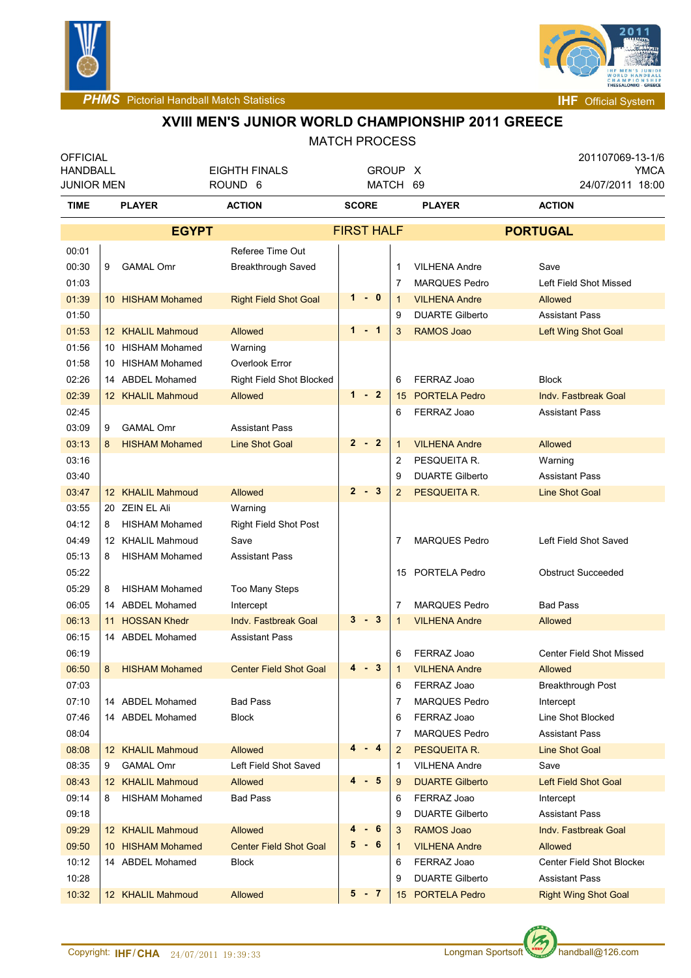



## **XVIII MEN'S JUNIOR WORLD CHAMPIONSHIP 2011 GREECE**

#### MATCH PROCESS

| <b>OFFICIAL</b><br><b>HANDBALL</b> |   |                                     | <b>EIGHTH FINALS</b>            | GROUP X           |             |                |                        | 201107069-13-1/6<br><b>YMCA</b> |                             |  |
|------------------------------------|---|-------------------------------------|---------------------------------|-------------------|-------------|----------------|------------------------|---------------------------------|-----------------------------|--|
| <b>JUNIOR MEN</b>                  |   |                                     | ROUND <sub>6</sub>              | MATCH 69          |             |                |                        |                                 | 24/07/2011 18:00            |  |
| <b>TIME</b>                        |   | <b>PLAYER</b>                       | <b>ACTION</b>                   | <b>SCORE</b>      |             |                | <b>PLAYER</b>          | <b>ACTION</b>                   |                             |  |
|                                    |   | <b>EGYPT</b>                        |                                 | <b>FIRST HALF</b> |             |                |                        | <b>PORTUGAL</b>                 |                             |  |
| 00:01                              |   |                                     | Referee Time Out                |                   |             |                |                        |                                 |                             |  |
| 00:30                              | 9 | <b>GAMAL Omr</b>                    | <b>Breakthrough Saved</b>       |                   |             | 1              | <b>VILHENA Andre</b>   | Save                            |                             |  |
| 01:03                              |   |                                     |                                 |                   |             | 7              | <b>MARQUES Pedro</b>   |                                 | Left Field Shot Missed      |  |
| 01:39                              |   | 10 HISHAM Mohamed                   | <b>Right Field Shot Goal</b>    |                   | $1 - 0$     | $\mathbf{1}$   | <b>VILHENA Andre</b>   | Allowed                         |                             |  |
| 01:50                              |   |                                     |                                 |                   |             | 9              | <b>DUARTE Gilberto</b> | <b>Assistant Pass</b>           |                             |  |
| 01:53                              |   | 12 KHALIL Mahmoud                   | Allowed                         |                   | 1 - 1       | 3              | <b>RAMOS Joao</b>      |                                 | Left Wing Shot Goal         |  |
| 01:56                              |   | 10 HISHAM Mohamed                   | Warning                         |                   |             |                |                        |                                 |                             |  |
| 01:58                              |   | 10 HISHAM Mohamed                   | Overlook Error                  |                   |             |                |                        |                                 |                             |  |
| 02:26                              |   | 14 ABDEL Mohamed                    | <b>Right Field Shot Blocked</b> |                   |             | 6              | FERRAZ Joao            | <b>Block</b>                    |                             |  |
| 02:39                              |   | 12 KHALIL Mahmoud                   | Allowed                         |                   | $1 - 2$     | 15             | <b>PORTELA Pedro</b>   |                                 | <b>Indv. Fastbreak Goal</b> |  |
| 02:45                              |   |                                     |                                 |                   |             | 6              | FERRAZ Joao            | <b>Assistant Pass</b>           |                             |  |
| 03:09                              | 9 | <b>GAMAL Omr</b>                    | <b>Assistant Pass</b>           |                   |             |                |                        |                                 |                             |  |
| 03:13                              | 8 | <b>HISHAM Mohamed</b>               | <b>Line Shot Goal</b>           |                   | $2 - 2$     | $\mathbf{1}$   | <b>VILHENA Andre</b>   | Allowed                         |                             |  |
| 03:16                              |   |                                     |                                 |                   |             | 2              | PESQUEITA R.           | Warning                         |                             |  |
| 03:40                              |   |                                     |                                 |                   |             | 9              | <b>DUARTE Gilberto</b> | <b>Assistant Pass</b>           |                             |  |
| 03:47                              |   | 12 KHALIL Mahmoud                   | Allowed                         |                   | $2 - 3$     | $\overline{2}$ | PESQUEITA R.           | <b>Line Shot Goal</b>           |                             |  |
| 03:55                              |   | 20 ZEIN EL Ali                      | Warning                         |                   |             |                |                        |                                 |                             |  |
| 04:12                              | 8 | <b>HISHAM Mohamed</b>               | <b>Right Field Shot Post</b>    |                   |             |                |                        |                                 |                             |  |
| 04:49                              |   | 12 KHALIL Mahmoud                   | Save                            |                   |             | 7              | <b>MARQUES Pedro</b>   |                                 | Left Field Shot Saved       |  |
| 05:13                              | 8 | <b>HISHAM Mohamed</b>               | <b>Assistant Pass</b>           |                   |             |                |                        |                                 |                             |  |
| 05:22                              |   |                                     |                                 |                   |             | 15             | PORTELA Pedro          |                                 | <b>Obstruct Succeeded</b>   |  |
| 05:29                              | 8 | <b>HISHAM Mohamed</b>               | Too Many Steps                  |                   |             |                |                        |                                 |                             |  |
| 06:05                              |   | 14 ABDEL Mohamed                    | Intercept                       |                   | $3 - 3$     | 7              | <b>MARQUES Pedro</b>   | <b>Bad Pass</b>                 |                             |  |
| 06:13                              |   | 11 HOSSAN Khedr<br>14 ABDEL Mohamed | <b>Indy. Fastbreak Goal</b>     |                   |             | $\mathbf{1}$   | <b>VILHENA Andre</b>   | <b>Allowed</b>                  |                             |  |
| 06:15<br>06:19                     |   |                                     | <b>Assistant Pass</b>           |                   |             | 6              | FERRAZ Joao            |                                 | Center Field Shot Missed    |  |
| 06:50                              |   | 8 HISHAM Mohamed                    | <b>Center Field Shot Goal</b>   |                   | $4 - 3$     | $\mathbf{1}$   | <b>VILHENA Andre</b>   | Allowed                         |                             |  |
| 07:03                              |   |                                     |                                 |                   |             | 6              | FERRAZ Joao            |                                 | Breakthrough Post           |  |
| 07:10                              |   | 14 ABDEL Mohamed                    | <b>Bad Pass</b>                 |                   |             | 7              | <b>MARQUES Pedro</b>   | Intercept                       |                             |  |
| 07:46                              |   | 14 ABDEL Mohamed                    | <b>Block</b>                    |                   |             | 6              | FERRAZ Joao            |                                 | Line Shot Blocked           |  |
| 08:04                              |   |                                     |                                 |                   |             | 7              | <b>MARQUES Pedro</b>   | <b>Assistant Pass</b>           |                             |  |
| 08:08                              |   | 12 KHALIL Mahmoud                   | Allowed                         |                   | $-4$        | 2              | PESQUEITA R.           | <b>Line Shot Goal</b>           |                             |  |
| 08:35                              | 9 | <b>GAMAL Omr</b>                    | Left Field Shot Saved           |                   |             | 1              | <b>VILHENA Andre</b>   | Save                            |                             |  |
| 08:43                              |   | 12 KHALIL Mahmoud                   | Allowed                         |                   | $-5$        | 9              | <b>DUARTE Gilberto</b> |                                 | <b>Left Field Shot Goal</b> |  |
| 09:14                              | 8 | <b>HISHAM Mohamed</b>               | <b>Bad Pass</b>                 |                   |             | 6              | FERRAZ Joao            | Intercept                       |                             |  |
| 09:18                              |   |                                     |                                 |                   |             | 9              | <b>DUARTE Gilberto</b> | <b>Assistant Pass</b>           |                             |  |
| 09:29                              |   | 12 KHALIL Mahmoud                   | Allowed                         | 4                 | 6<br>$\sim$ | 3              | RAMOS Joao             |                                 | Indy. Fastbreak Goal        |  |
| 09:50                              |   | 10 HISHAM Mohamed                   | <b>Center Field Shot Goal</b>   |                   | 5-6         | 1              | <b>VILHENA Andre</b>   | Allowed                         |                             |  |
| 10:12                              |   | 14 ABDEL Mohamed                    | Block                           |                   |             | 6              | FERRAZ Joao            |                                 | Center Field Shot Blocker   |  |
| 10:28                              |   |                                     |                                 |                   |             | 9              | <b>DUARTE Gilberto</b> | <b>Assistant Pass</b>           |                             |  |
| 10:32                              |   | 12 KHALIL Mahmoud                   | Allowed                         |                   | $5 - 7$     | 15             | <b>PORTELA Pedro</b>   |                                 | <b>Right Wing Shot Goal</b> |  |

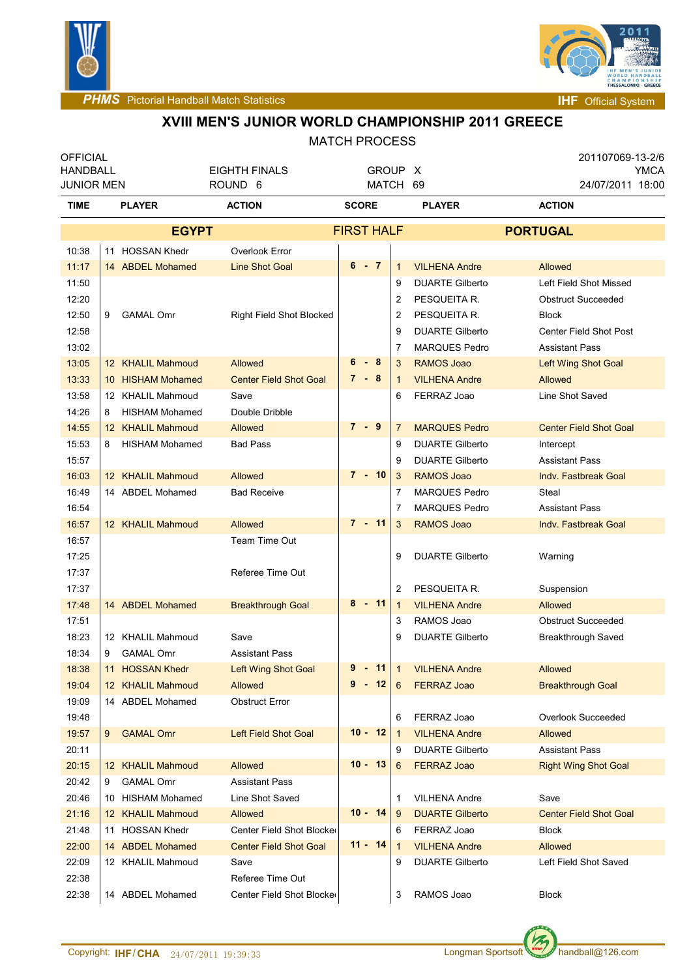



### **XVIII MEN'S JUNIOR WORLD CHAMPIONSHIP 2011 GREECE**

| <b>OFFICIAL</b><br><b>HANDBALL</b> |   |                       | <b>EIGHTH FINALS</b>            | GROUP X           |           |                |                        | 201107069-13-2/6      |                               | YMCA |
|------------------------------------|---|-----------------------|---------------------------------|-------------------|-----------|----------------|------------------------|-----------------------|-------------------------------|------|
| <b>JUNIOR MEN</b>                  |   |                       | ROUND 6                         |                   | MATCH 69  |                |                        |                       | 24/07/2011 18:00              |      |
| <b>TIME</b>                        |   | <b>PLAYER</b>         | <b>ACTION</b>                   | <b>SCORE</b>      |           |                | <b>PLAYER</b>          | <b>ACTION</b>         |                               |      |
| <b>EGYPT</b>                       |   |                       |                                 | <b>FIRST HALF</b> |           |                |                        | <b>PORTUGAL</b>       |                               |      |
| 10:38                              |   | 11 HOSSAN Khedr       | Overlook Error                  |                   |           |                |                        |                       |                               |      |
| 11:17                              |   | 14 ABDEL Mohamed      | <b>Line Shot Goal</b>           |                   | $6 - 7$   | $\mathbf{1}$   | <b>VILHENA Andre</b>   | Allowed               |                               |      |
| 11:50                              |   |                       |                                 |                   |           | 9              | <b>DUARTE Gilberto</b> |                       | Left Field Shot Missed        |      |
| 12:20                              |   |                       |                                 |                   |           | 2              | PESQUEITA R.           |                       | <b>Obstruct Succeeded</b>     |      |
| 12:50                              | 9 | <b>GAMAL Omr</b>      | <b>Right Field Shot Blocked</b> |                   |           | 2              | PESQUEITA R.           | <b>Block</b>          |                               |      |
| 12:58                              |   |                       |                                 |                   |           | 9              | <b>DUARTE Gilberto</b> |                       | Center Field Shot Post        |      |
| 13:02                              |   |                       |                                 |                   |           | $\overline{7}$ | <b>MARQUES Pedro</b>   | <b>Assistant Pass</b> |                               |      |
| 13:05                              |   | 12 KHALIL Mahmoud     | Allowed                         | 6                 | - 8       | 3              | <b>RAMOS Joao</b>      |                       | <b>Left Wing Shot Goal</b>    |      |
| 13:33                              |   | 10 HISHAM Mohamed     | <b>Center Field Shot Goal</b>   |                   | $7 - 8$   | 1              | <b>VILHENA Andre</b>   | Allowed               |                               |      |
| 13:58                              |   | 12 KHALIL Mahmoud     | Save                            |                   |           | 6              | FERRAZ Joao            | Line Shot Saved       |                               |      |
| 14:26                              | 8 | <b>HISHAM Mohamed</b> | Double Dribble                  |                   |           |                |                        |                       |                               |      |
| 14:55                              |   | 12 KHALIL Mahmoud     | <b>Allowed</b>                  |                   | $7 - 9$   | 7              | <b>MARQUES Pedro</b>   |                       | <b>Center Field Shot Goal</b> |      |
| 15:53                              | 8 | <b>HISHAM Mohamed</b> | <b>Bad Pass</b>                 |                   |           | 9              | <b>DUARTE Gilberto</b> | Intercept             |                               |      |
| 15:57                              |   |                       |                                 |                   |           | 9              | <b>DUARTE Gilberto</b> | <b>Assistant Pass</b> |                               |      |
| 16:03                              |   | 12 KHALIL Mahmoud     | <b>Allowed</b>                  |                   | $7 - 10$  | 3              | <b>RAMOS Joao</b>      |                       | Indy. Fastbreak Goal          |      |
| 16:49                              |   | 14 ABDEL Mohamed      | <b>Bad Receive</b>              |                   |           | 7              | <b>MARQUES Pedro</b>   | Steal                 |                               |      |
| 16:54                              |   |                       |                                 |                   |           | 7              | <b>MARQUES Pedro</b>   | <b>Assistant Pass</b> |                               |      |
| 16:57                              |   | 12 KHALIL Mahmoud     | Allowed                         |                   | 7 - 11    | 3              | <b>RAMOS Joao</b>      |                       | <b>Indv. Fastbreak Goal</b>   |      |
| 16:57                              |   |                       | Team Time Out                   |                   |           |                |                        |                       |                               |      |
| 17:25                              |   |                       |                                 |                   |           | 9              | <b>DUARTE Gilberto</b> | Warning               |                               |      |
| 17:37                              |   |                       | Referee Time Out                |                   |           |                |                        |                       |                               |      |
| 17:37                              |   |                       |                                 |                   |           | $\overline{2}$ | PESQUEITA R.           | Suspension            |                               |      |
| 17:48                              |   | 14 ABDEL Mohamed      | <b>Breakthrough Goal</b>        |                   | $8 - 11$  | $\mathbf{1}$   | <b>VILHENA Andre</b>   | Allowed               |                               |      |
| 17:51                              |   |                       |                                 |                   |           | 3              | RAMOS Joao             |                       | <b>Obstruct Succeeded</b>     |      |
| 18:23                              |   | 12 KHALIL Mahmoud     | Save                            |                   |           | 9              | <b>DUARTE Gilberto</b> |                       | Breakthrough Saved            |      |
| 18:34                              | 9 | <b>GAMAL Omr</b>      | <b>Assistant Pass</b>           |                   |           |                |                        |                       |                               |      |
| 18:38                              |   | 11 HOSSAN Khedr       | Left Wing Shot Goal             |                   |           |                | 9 - 11 1 VILHENA Andre | Allowed               |                               |      |
| 19:04                              |   | 12 KHALIL Mahmoud     | Allowed                         |                   | $9 - 12$  | 6              | <b>FERRAZ Joao</b>     |                       | <b>Breakthrough Goal</b>      |      |
| 19:09                              |   | 14 ABDEL Mohamed      | <b>Obstruct Error</b>           |                   |           |                |                        |                       |                               |      |
| 19:48                              |   |                       |                                 |                   |           | 6              | FERRAZ Joao            |                       | Overlook Succeeded            |      |
| 19:57                              | 9 | <b>GAMAL Omr</b>      | Left Field Shot Goal            |                   | $10 - 12$ | $\mathbf{1}$   | <b>VILHENA Andre</b>   | Allowed               |                               |      |
| 20:11                              |   |                       |                                 |                   |           | 9              | <b>DUARTE Gilberto</b> | <b>Assistant Pass</b> |                               |      |
| 20:15                              |   | 12 KHALIL Mahmoud     | Allowed                         |                   | $10 - 13$ | 6              | <b>FERRAZ Joao</b>     |                       | <b>Right Wing Shot Goal</b>   |      |
| 20:42                              | 9 | <b>GAMAL Omr</b>      | <b>Assistant Pass</b>           |                   |           |                |                        |                       |                               |      |
| 20:46                              |   | 10 HISHAM Mohamed     | Line Shot Saved                 |                   |           | 1              | <b>VILHENA Andre</b>   | Save                  |                               |      |
| 21:16                              |   | 12 KHALIL Mahmoud     | <b>Allowed</b>                  |                   | $10 - 14$ | 9              | <b>DUARTE Gilberto</b> |                       | <b>Center Field Shot Goal</b> |      |
| 21:48                              |   | 11 HOSSAN Khedr       | Center Field Shot Blocke        |                   |           | 6              | FERRAZ Joao            | <b>Block</b>          |                               |      |
| 22:00                              |   | 14 ABDEL Mohamed      | <b>Center Field Shot Goal</b>   |                   | $11 - 14$ | $\mathbf{1}$   | <b>VILHENA Andre</b>   | Allowed               |                               |      |
| 22:09                              |   | 12 KHALIL Mahmoud     | Save                            |                   |           | 9              | <b>DUARTE Gilberto</b> |                       | Left Field Shot Saved         |      |
| 22:38                              |   |                       | Referee Time Out                |                   |           |                |                        |                       |                               |      |
| 22:38                              |   | 14 ABDEL Mohamed      | Center Field Shot Blocker       |                   |           | 3              | RAMOS Joao             | Block                 |                               |      |

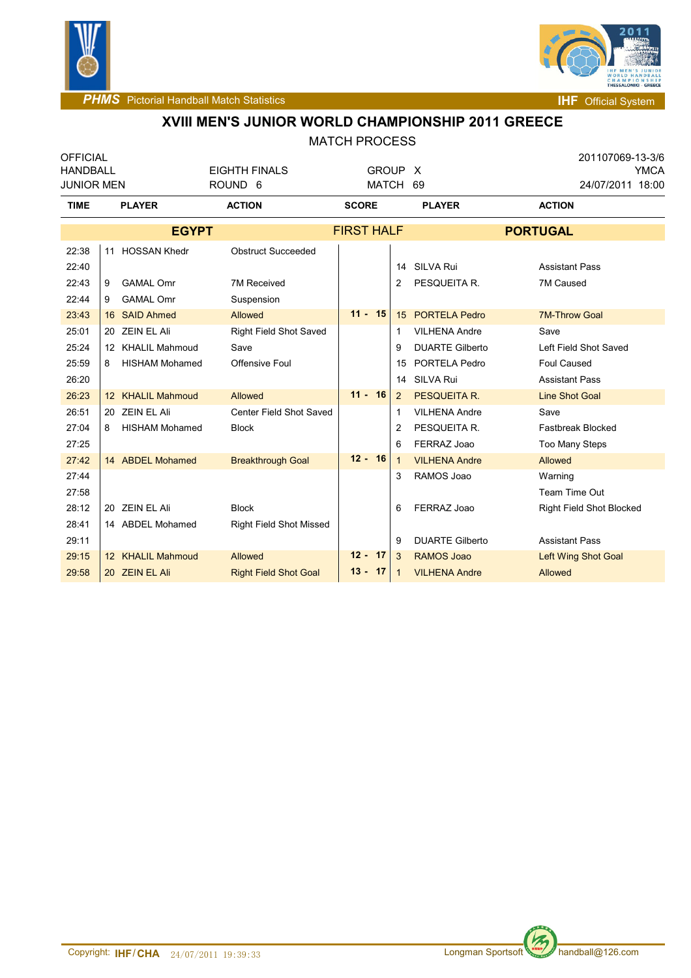



**PHMS** Pictorial Handball Match Statistics **Internal Physics IHF** Official System

### **XVIII MEN'S JUNIOR WORLD CHAMPIONSHIP 2011 GREECE** MATCH PROCESS

| <b>OFFICIAL</b><br>HANDBALL |   |                                    | <b>EIGHTH FINALS</b><br>GROUP X |                   |                     |                        |                        | 201107069-13-3/6<br>YMCA |                                 |  |
|-----------------------------|---|------------------------------------|---------------------------------|-------------------|---------------------|------------------------|------------------------|--------------------------|---------------------------------|--|
| <b>JUNIOR MEN</b>           |   | <b>MATCH</b><br>ROUND <sub>6</sub> |                                 | 69                | 24/07/2011 18:00    |                        |                        |                          |                                 |  |
| <b>TIME</b>                 |   | <b>PLAYER</b>                      | <b>ACTION</b>                   | <b>SCORE</b>      |                     |                        | <b>PLAYER</b>          |                          | <b>ACTION</b>                   |  |
| <b>EGYPT</b>                |   |                                    |                                 | <b>FIRST HALF</b> |                     |                        | <b>PORTUGAL</b>        |                          |                                 |  |
| 22:38                       |   | 11 HOSSAN Khedr                    | <b>Obstruct Succeeded</b>       |                   |                     |                        |                        |                          |                                 |  |
| 22:40                       |   |                                    |                                 |                   |                     |                        | 14 SILVA Rui           |                          | <b>Assistant Pass</b>           |  |
| 22:43                       | 9 | <b>GAMAL Omr</b>                   | 7M Received                     |                   |                     | 2                      | PESQUEITA R.           |                          | 7M Caused                       |  |
| 22:44                       | 9 | <b>GAMAL Omr</b>                   | Suspension                      |                   |                     |                        |                        |                          |                                 |  |
| 23:43                       |   | 16 SAID Ahmed                      | Allowed                         |                   | $11 - 15$           |                        | 15 PORTELA Pedro       |                          | <b>7M-Throw Goal</b>            |  |
| 25:01                       |   | 20 ZEIN EL Ali                     | Right Field Shot Saved          |                   |                     | 1                      | <b>VILHENA Andre</b>   | Save                     |                                 |  |
| 25:24                       |   | 12 KHALIL Mahmoud                  | Save                            | 9                 |                     | <b>DUARTE Gilberto</b> |                        | Left Field Shot Saved    |                                 |  |
| 25:59                       | 8 | <b>HISHAM Mohamed</b>              | Offensive Foul                  |                   | PORTELA Pedro<br>15 |                        |                        | Foul Caused              |                                 |  |
| 26:20                       |   |                                    |                                 |                   |                     | 14                     | <b>SILVA Rui</b>       |                          | <b>Assistant Pass</b>           |  |
| 26:23                       |   | 12 KHALIL Mahmoud                  | Allowed                         |                   | $11 - 16$           | $\overline{2}$         | <b>PESQUEITA R.</b>    |                          | <b>Line Shot Goal</b>           |  |
| 26:51                       |   | 20 ZEIN EL Ali                     | Center Field Shot Saved         |                   |                     | 1                      | <b>VILHENA Andre</b>   |                          | Save                            |  |
| 27:04                       | 8 | <b>HISHAM Mohamed</b>              | <b>Block</b>                    |                   |                     | 2                      | PESQUEITA R.           |                          | <b>Fastbreak Blocked</b>        |  |
| 27:25                       |   |                                    |                                 |                   |                     | 6                      | FERRAZ Joao            |                          | <b>Too Many Steps</b>           |  |
| 27:42                       |   | 14 ABDEL Mohamed                   | <b>Breakthrough Goal</b>        |                   | $12 - 16$           | $\mathbf{1}$           | <b>VILHENA Andre</b>   |                          | Allowed                         |  |
| 27:44                       |   |                                    |                                 |                   |                     | 3                      | RAMOS Joao             |                          | Warning                         |  |
| 27:58                       |   |                                    |                                 |                   |                     |                        |                        |                          | Team Time Out                   |  |
| 28:12                       |   | 20 ZEIN EL Ali                     | <b>Block</b>                    |                   |                     | 6                      | FERRAZ Joao            |                          | <b>Right Field Shot Blocked</b> |  |
| 28:41                       |   | 14 ABDEL Mohamed                   | <b>Right Field Shot Missed</b>  |                   |                     |                        |                        |                          |                                 |  |
| 29:11                       |   |                                    |                                 |                   |                     | 9                      | <b>DUARTE Gilberto</b> |                          | <b>Assistant Pass</b>           |  |
| 29:15                       |   | 12 KHALIL Mahmoud                  | Allowed                         |                   | $12 - 17$           | 3                      | <b>RAMOS Joao</b>      |                          | Left Wing Shot Goal             |  |
| 29:58                       |   | 20 ZEIN EL Ali                     | <b>Right Field Shot Goal</b>    |                   | $13 - 17$           | 1                      | <b>VILHENA Andre</b>   |                          | <b>Allowed</b>                  |  |

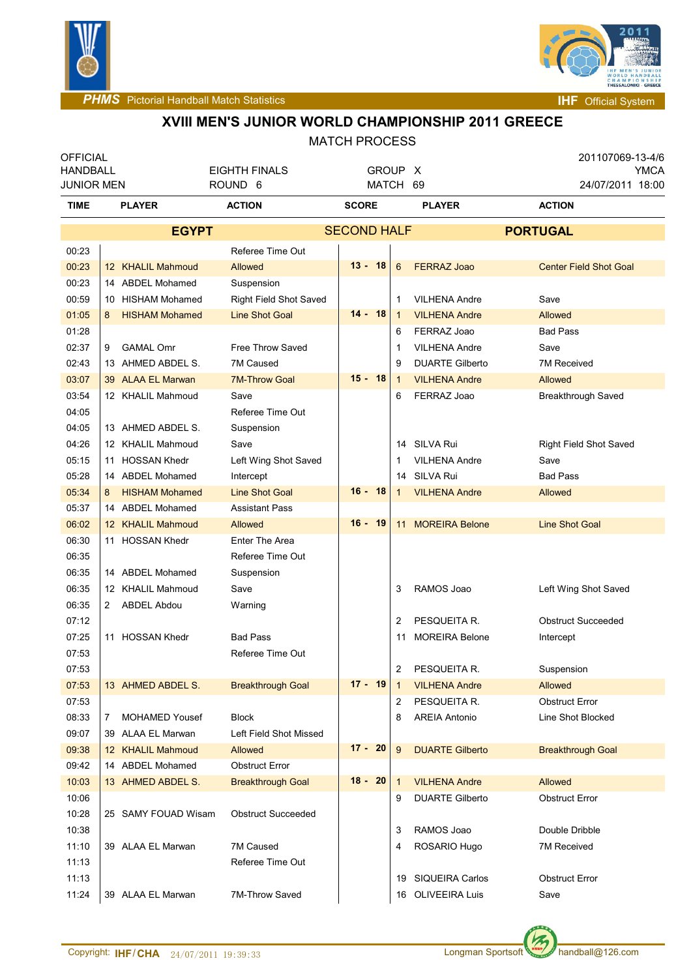



**PHMS** Pictorial Handball Match Statistics **Internal System INF** Official System

#### **XVIII MEN'S JUNIOR WORLD CHAMPIONSHIP 2011 GREECE**

#### MATCH PROCESS **OFFICIAL** HANDBALL JUNIOR MEN EIGHTH FINALS ROUND 6 GROUP X MATCH 69 201107069-13-4/6 YMCA 24/07/2011 18:00 **TIME PLAYER ACTION SCORE PLAYER ACTION EGYPT** SECOND HALF **PORTUGAL**  00:23 Referee Time Out 00:23 KHALIL Mahmoud 12 Allowed **13 - 18** 6 FERRAZ Joao Center Field Shot Goal 00:23 14 ABDEL Mohamed Suspension 00:59 | 10 HISHAM Mohamed Right Field Shot Saved | 1 VILHENA Andre Save 01:05 HISHAM Mohamed 8 Line Shot Goal **14 - 18** 1 VILHENA Andre Allowed 01:28 **6 FERRAZ Joao Bad Pass** 02:37 GAMAL Omr 9 Free Throw Saved 1 VILHENA Andre Save 02:43 13 AHMED ABDEL S 7M Caused 9 DUARTE Gilberto 7M Received 03:07 39 ALAA EL Marwan 7M-Throw Goal **15 - 18** 1 VILHENA Andre Allowed 03:54 12 KHALIL Mahmoud Save 6 FERRAZ Joao Breakthrough Saved 04:05 Referee Time Out 04:05 13 AHMED ABDEL S. Suspension 04:26 | 12 KHALIL Mahmoud Save 14 SILVA Rui 14 SILVA Rui Right Field Shot Saved 05:15 HOSSAN Khedr 11 Left Wing Shot Saved 1 VILHENA Andre Save 05:28 | 14 ABDEL Mohamed Intercept 14 SILVA Rui Bad Pass 05:34 HISHAM Mohamed 8 Line Shot Goal **16 - 18** 1 VILHENA Andre Allowed 05:37 14 ABDEL Mohamed Assistant Pass 06:02 12 KHALIL Mahmoud Allowed 16 **- 19** 11 MOREIRA Belone Line Shot Goal 06:30 11 HOSSAN Khedr Enter The Area 06:35 | Referee Time Out 06:35 14 ABDEL Mohamed Suspension 06:35 | 12 KHALIL Mahmoud Save 3 | 3 RAMOS Joao Left Wing Shot Saved 06:35 2 ABDEL Abdou Warning 07:12 **2 PESQUEITA R. CONSTRUCTED ASSAULT A RESOLUTION RESOLUTION CONSTRUCTED ASSAULT A RESOLUTION RESOLUTION R** 07:25 HOSSAN Khedr 11 Bad Pass 11 MOREIRA Belone Intercept 07:53 Referee Time Out 07:53 2 PESQUEITA R. Suspension 07:53 13 AHMED ABDEL S. Breakthrough Goal **17 - 19** 1 VILHENA Andre Allowed 07:53 **2 PESQUEITA R. Obstruct Error 2** PESQUEITA R. Obstruct Error 08:33 7 MOHAMED Yousef Block 8 | 8 AREIA Antonio Line Shot Blocked 09:07 39 ALAA EL Marwan Left Field Shot Missed 09:38 KHALIL Mahmoud 12 Allowed **17 - 20** 9 DUARTE Gilberto Breakthrough Goal 09:42 14 ABDEL Mohamed Obstruct Error 10:03 13 AHMED ABDEL S. Breakthrough Goal **18 - 20** 1 VILHENA Andre Allowed 10:06 9 DUARTE Gilberto Obstruct Error 10:28 25 SAMY FOUAD Wisam Obstruct Succeeded 10:38 3 RAMOS Joao Double Dribble 11:10 39 ALAA EL Marwan 7M Caused  $\begin{vmatrix} 4 & ROSARIO Hugo & TMS (2018) \end{vmatrix}$  7M Received 11:13 Referee Time Out 11:13 19 SIQUEIRA Carlos Obstruct Error 11:24 39 ALAA EL Marwan 7M-Throw Saved 16 OLIVEEIRA Luis Save

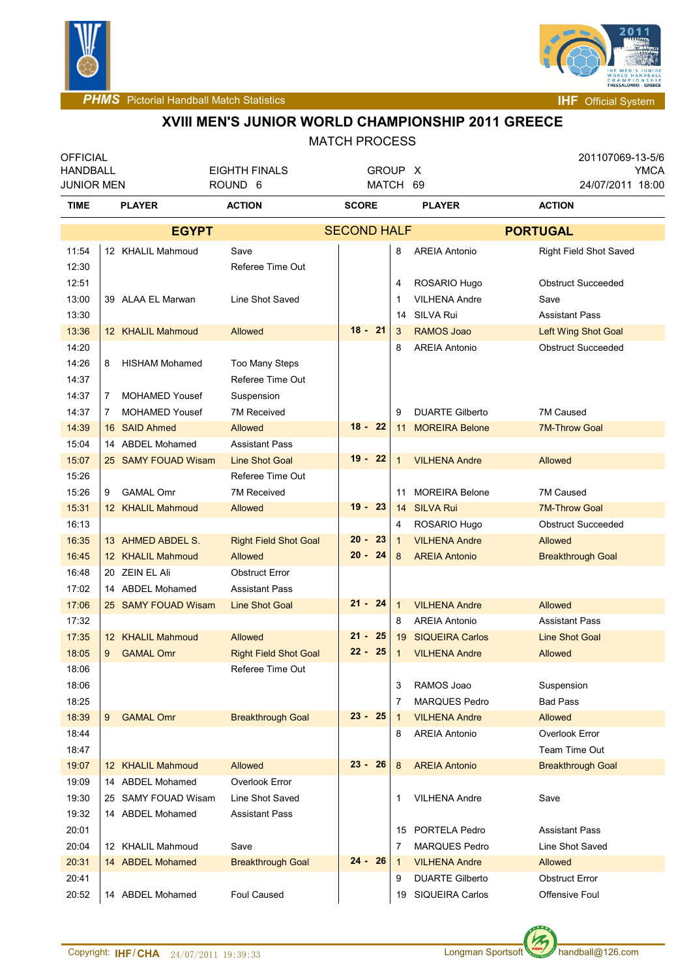



### **XVIII MEN'S JUNIOR WORLD CHAMPIONSHIP 2011 GREECE**

#### MATCH PROCESS

| <b>OFFICIAL</b>   |              |                       |                              |                    |             |                              | 201107069-13-5/6              |
|-------------------|--------------|-----------------------|------------------------------|--------------------|-------------|------------------------------|-------------------------------|
| <b>HANDBALL</b>   |              |                       | <b>EIGHTH FINALS</b>         |                    | GROUP X     |                              | YMCA                          |
| <b>JUNIOR MEN</b> |              |                       | ROUND 6                      | MATCH              |             | 69                           | 24/07/2011 18:00              |
| <b>TIME</b>       |              | <b>PLAYER</b>         | <b>ACTION</b>                | <b>SCORE</b>       |             | <b>PLAYER</b>                | <b>ACTION</b>                 |
| <b>EGYPT</b>      |              |                       |                              | <b>SECOND HALF</b> |             |                              | <b>PORTUGAL</b>               |
| 11:54             |              | 12 KHALIL Mahmoud     | Save                         |                    | 8           | <b>AREIA Antonio</b>         | <b>Right Field Shot Saved</b> |
| 12:30             |              |                       | Referee Time Out             |                    |             |                              |                               |
| 12:51             |              |                       |                              |                    | 4           | ROSARIO Hugo                 | <b>Obstruct Succeeded</b>     |
| 13:00             |              | 39 ALAA EL Marwan     | Line Shot Saved              |                    | 1           | <b>VILHENA Andre</b>         | Save                          |
| 13:30             |              |                       |                              |                    | 14          | SILVA Rui                    | <b>Assistant Pass</b>         |
| 13:36             |              | 12 KHALIL Mahmoud     | <b>Allowed</b>               | $18 - 21$          | 3           | <b>RAMOS Joao</b>            | <b>Left Wing Shot Goal</b>    |
| 14:20             |              |                       |                              |                    | 8           | <b>AREIA Antonio</b>         | <b>Obstruct Succeeded</b>     |
| 14:26             | 8            | <b>HISHAM Mohamed</b> | Too Many Steps               |                    |             |                              |                               |
| 14:37             |              |                       | Referee Time Out             |                    |             |                              |                               |
| 14:37             | $\mathbf{7}$ | <b>MOHAMED Yousef</b> | Suspension                   |                    |             |                              |                               |
| 14:37             | 7            | <b>MOHAMED Yousef</b> | <b>7M Received</b>           |                    | 9           | <b>DUARTE Gilberto</b>       | 7M Caused                     |
| 14:39             |              | 16 SAID Ahmed         | Allowed                      | $18 - 22$          |             | <b>MOREIRA Belone</b><br>11  | <b>7M-Throw Goal</b>          |
| 15:04             |              | 14 ABDEL Mohamed      | <b>Assistant Pass</b>        |                    |             |                              |                               |
| 15:07             |              | 25 SAMY FOUAD Wisam   | <b>Line Shot Goal</b>        | $19 - 22$          | 1           | <b>VILHENA Andre</b>         | Allowed                       |
| 15:26             |              |                       | Referee Time Out             |                    |             |                              |                               |
| 15:26             | 9            | <b>GAMAL Omr</b>      | 7M Received                  |                    | 11          | <b>MOREIRA Belone</b>        | 7M Caused                     |
| 15:31             |              | 12 KHALIL Mahmoud     | Allowed                      | $19 - 23$          |             | 14 SILVA Rui                 | <b>7M-Throw Goal</b>          |
| 16:13             |              |                       |                              |                    | 4           | ROSARIO Hugo                 | <b>Obstruct Succeeded</b>     |
| 16:35             |              | 13 AHMED ABDEL S.     | <b>Right Field Shot Goal</b> | $20 -$<br>23       | 1           | <b>VILHENA Andre</b>         | Allowed                       |
| 16:45             |              | 12 KHALIL Mahmoud     | Allowed                      | $20 -$<br>-24      | 8           | <b>AREIA Antonio</b>         | <b>Breakthrough Goal</b>      |
| 16:48             |              | 20 ZEIN EL Ali        | <b>Obstruct Error</b>        |                    |             |                              |                               |
| 17:02             |              | 14 ABDEL Mohamed      | <b>Assistant Pass</b>        |                    |             |                              |                               |
| 17:06             |              | 25 SAMY FOUAD Wisam   | <b>Line Shot Goal</b>        | $21 - 24$          | 1           | <b>VILHENA Andre</b>         | Allowed                       |
| 17:32             |              |                       |                              |                    | 8           | <b>AREIA Antonio</b>         | <b>Assistant Pass</b>         |
| 17:35             |              | 12 KHALIL Mahmoud     | <b>Allowed</b>               | $21 -$<br>25       | 19          | <b>SIQUEIRA Carlos</b>       | <b>Line Shot Goal</b>         |
| 18:05             | 9            | <b>GAMAL Omr</b>      | <b>Right Field Shot Goal</b> | $22 - 25$          | 1           | <b>VILHENA Andre</b>         | Allowed                       |
| 18:06             |              |                       | Referee Time Out             |                    |             |                              |                               |
| 18:06             |              |                       |                              |                    | 3           | RAMOS Joao                   | Suspension                    |
| 18:25             |              |                       |                              |                    | 7           | <b>MARQUES Pedro</b>         | <b>Bad Pass</b>               |
| 18:39             | 9            | <b>GAMAL Omr</b>      | <b>Breakthrough Goal</b>     | $23 - 25$          | $\mathbf 1$ | <b>VILHENA Andre</b>         | Allowed                       |
| 18:44             |              |                       |                              |                    | 8           | <b>AREIA Antonio</b>         | Overlook Error                |
| 18:47             |              |                       |                              |                    |             |                              | Team Time Out                 |
| 19:07             |              | 12 KHALIL Mahmoud     | <b>Allowed</b>               | $23 -$<br>26       | 8           | <b>AREIA Antonio</b>         | <b>Breakthrough Goal</b>      |
| 19:09             |              | 14 ABDEL Mohamed      | Overlook Error               |                    |             |                              |                               |
| 19:30             |              | 25 SAMY FOUAD Wisam   | Line Shot Saved              |                    | 1           | <b>VILHENA Andre</b>         | Save                          |
| 19:32             |              | 14 ABDEL Mohamed      | <b>Assistant Pass</b>        |                    |             |                              |                               |
| 20:01             |              |                       |                              |                    | 15          | PORTELA Pedro                | <b>Assistant Pass</b>         |
| 20:04             |              | 12 KHALIL Mahmoud     | Save                         |                    | 7           | <b>MARQUES Pedro</b>         | Line Shot Saved               |
| 20:31             |              | 14 ABDEL Mohamed      | <b>Breakthrough Goal</b>     | $24 -$<br>26       | $\mathbf 1$ | <b>VILHENA Andre</b>         | Allowed                       |
| 20:41             |              |                       |                              |                    | 9           | <b>DUARTE Gilberto</b>       | <b>Obstruct Error</b>         |
| 20:52             |              | 14 ABDEL Mohamed      | Foul Caused                  |                    |             | <b>SIQUEIRA Carlos</b><br>19 | Offensive Foul                |